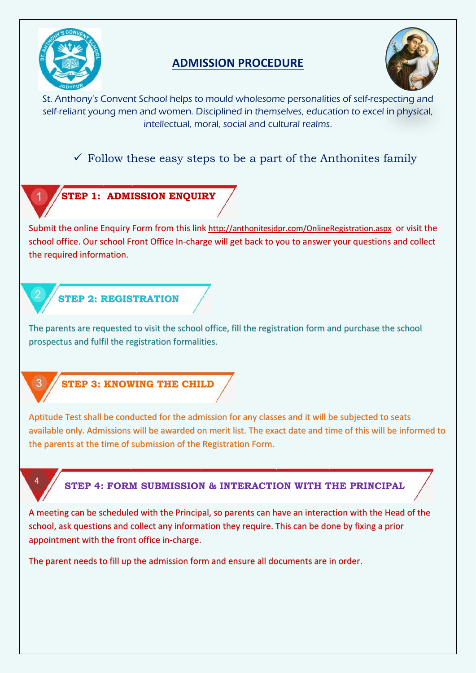

# **ADMISSION PROCEDURE**



St. Anthony's Convent School helps to mould wholesome personalities of self-respecting and self-reliant young men and women. Disciplined in themselves, education to excel in physical, intellectual, moral, social and cultural realms.

# $\checkmark$  Follow these easy steps to be a part of the Anthonites family



### **STEP 1: ADMISSION ENQUIRY**

Submit the online Enquiry Form from this link <http://anthonitesjdpr.com/OnlineRegistration.aspx> or visit the school office. Our school Front Office In-charge will get back to you to answer your questions and collect the required information.

# **STEP 2: REGISTRATION**

The parents are requested to visit the school office, fill the registration form and purchase the school prospectus and fulfil the registration formalities.



4

### **STEP 3: KNOWING THE CHILD**

Aptitude Test shall be conducted for the admission for any classes and it will be subjected to seats available only. Admissions will be awarded on merit list. The exact date and time of this will be informed to the parents at the time of submission of the Registration Form.

### **STEP 4: FORM SUBMISSION & INTERACTION WITH THE PRINCIPAL**

A meeting can be scheduled with the Principal, so parents can have an interaction with the Head of the school, ask questions and collect any information they require. This can be done by fixing a prior appointment with the front office in-charge.

The parent needs to fill up the admission form and ensure all documents are in order.